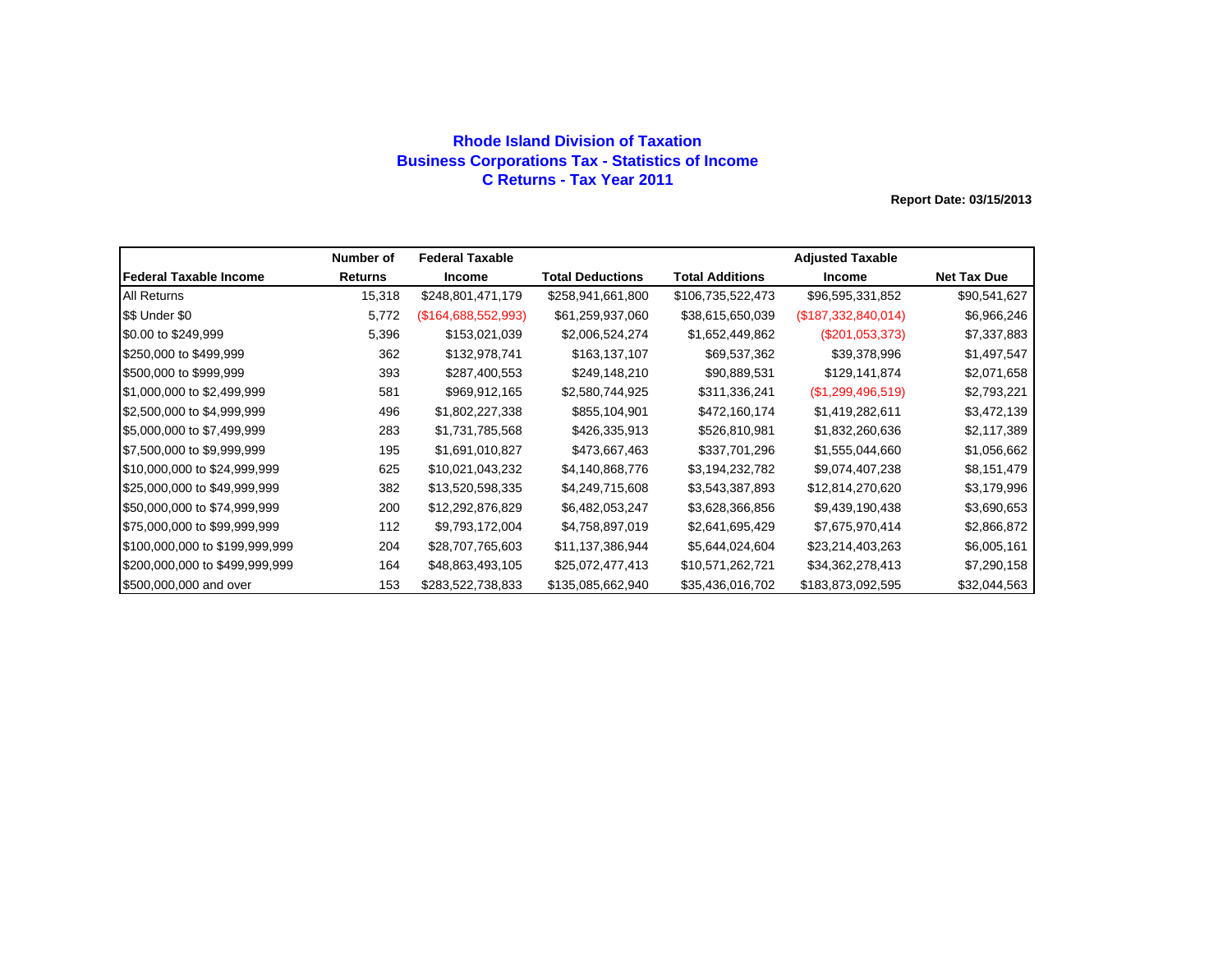### **Rhode Island Division of Taxation Business Corporations Tax - Statistics of Income C Returns - Tax Year 2011**

|                                | Number of      | <b>Federal Taxable</b> |                         |                   | <b>Adjusted Taxable</b> |                    |
|--------------------------------|----------------|------------------------|-------------------------|-------------------|-------------------------|--------------------|
| lFederal Taxable Income        | <b>Returns</b> | <b>Income</b>          | <b>Total Deductions</b> | Total Additions   | <b>Income</b>           | <b>Net Tax Due</b> |
| <b>All Returns</b>             | 15,318         | \$248,801,471,179      | \$258,941,661,800       | \$106,735,522,473 | \$96,595,331,852        | \$90,541,627       |
| \$\$ Under \$0                 | 5,772          | (\$164,688,552,993)    | \$61,259,937,060        | \$38,615,650,039  | (\$187,332,840,014)     | \$6,966,246        |
| \$0.00 to \$249,999            | 5,396          | \$153,021,039          | \$2,006,524,274         | \$1,652,449,862   | $(\$201,053,373)$       | \$7,337,883        |
| \$250,000 to \$499,999         | 362            | \$132,978,741          | \$163,137,107           | \$69,537,362      | \$39,378,996            | \$1,497,547        |
| \$500,000 to \$999,999         | 393            | \$287,400,553          | \$249,148,210           | \$90,889,531      | \$129,141,874           | \$2,071,658        |
| \$1,000,000 to \$2,499,999     | 581            | \$969,912,165          | \$2,580,744,925         | \$311,336,241     | (\$1,299,496,519)       | \$2,793,221        |
| \$2,500,000 to \$4,999,999     | 496            | \$1,802,227,338        | \$855,104,901           | \$472,160,174     | \$1,419,282,611         | \$3,472,139        |
| \$5,000,000 to \$7,499,999     | 283            | \$1,731,785,568        | \$426,335,913           | \$526,810,981     | \$1,832,260,636         | \$2,117,389        |
| \$7,500,000 to \$9,999,999     | 195            | \$1,691,010,827        | \$473,667,463           | \$337,701,296     | \$1,555,044,660         | \$1,056,662        |
| \$10,000,000 to \$24,999,999   | 625            | \$10,021,043,232       | \$4,140,868,776         | \$3,194,232,782   | \$9,074,407,238         | \$8,151,479        |
| \$25,000,000 to \$49,999,999   | 382            | \$13,520,598,335       | \$4,249,715,608         | \$3,543,387,893   | \$12,814,270,620        | \$3,179,996        |
| \$50,000,000 to \$74,999,999   | 200            | \$12,292,876,829       | \$6,482,053,247         | \$3,628,366,856   | \$9,439,190,438         | \$3,690,653        |
| \$75,000,000 to \$99,999,999   | 112            | \$9,793,172,004        | \$4,758,897,019         | \$2,641,695,429   | \$7,675,970,414         | \$2,866,872        |
| \$100,000,000 to \$199,999,999 | 204            | \$28,707,765,603       | \$11,137,386,944        | \$5,644,024,604   | \$23,214,403,263        | \$6,005,161        |
| \$200,000,000 to \$499,999,999 | 164            | \$48,863,493,105       | \$25,072,477,413        | \$10,571,262,721  | \$34,362,278,413        | \$7,290,158        |
| \$500,000,000 and over         | 153            | \$283,522,738,833      | \$135,085,662,940       | \$35,436,016,702  | \$183,873,092,595       | \$32,044,563       |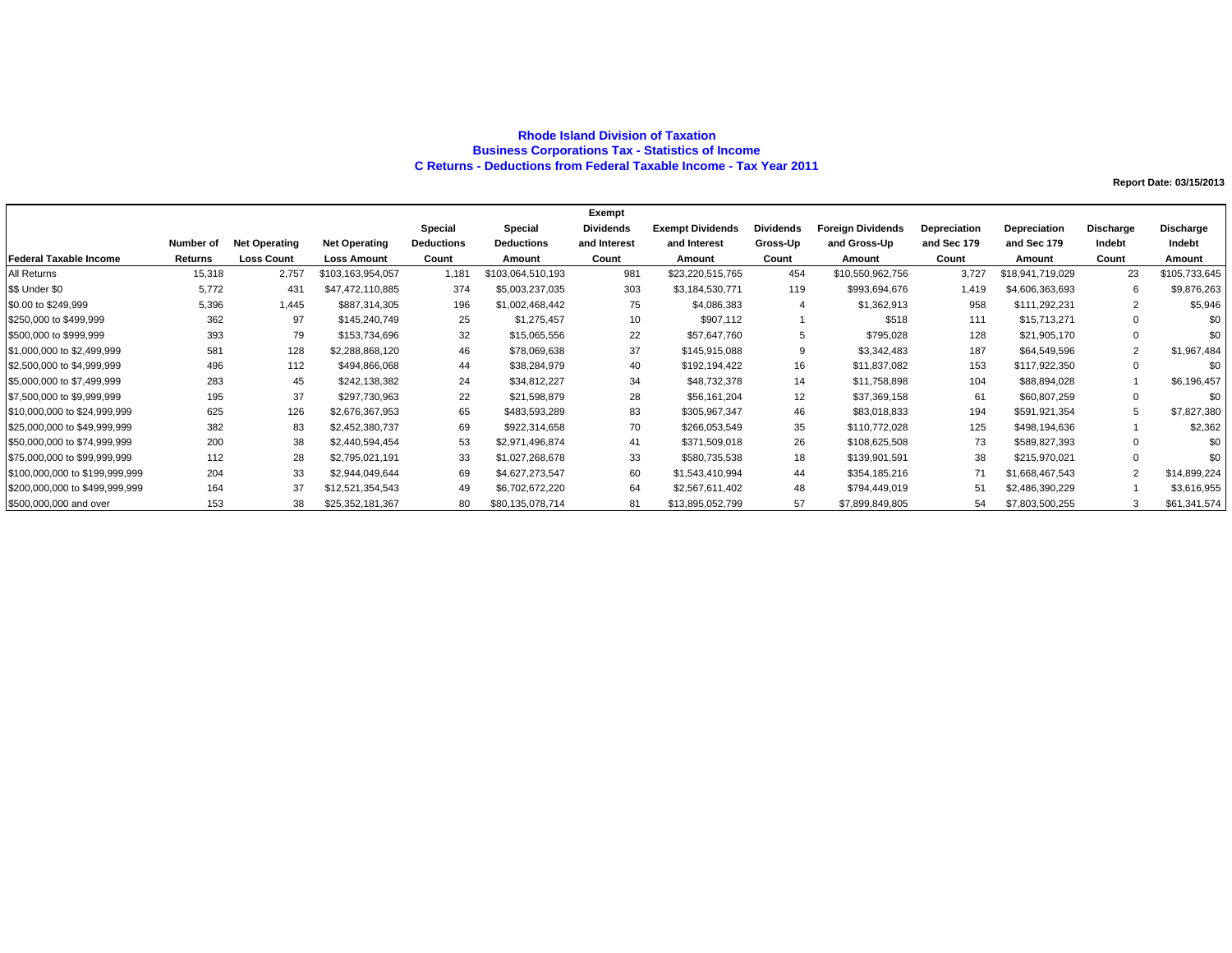#### **Rhode Island Division of Taxation Business Corporations Tax - Statistics of Income C Returns - Deductions from Federal Taxable Income - Tax Year 2011**

|                                |           |                      |                      |                   |                   | Exempt           |                         |                   |                          |              |                  |                  |               |
|--------------------------------|-----------|----------------------|----------------------|-------------------|-------------------|------------------|-------------------------|-------------------|--------------------------|--------------|------------------|------------------|---------------|
|                                |           |                      |                      | Special           | Special           | <b>Dividends</b> | <b>Exempt Dividends</b> | <b>Dividends</b>  | <b>Foreign Dividends</b> | Depreciation | Depreciation     | <b>Discharge</b> | Discharge     |
|                                | Number of | <b>Net Operating</b> | <b>Net Operating</b> | <b>Deductions</b> | <b>Deductions</b> | and Interest     | and Interest            | Gross-Up          | and Gross-Up             | and Sec 179  | and Sec 179      | Indebt           | Indebt        |
| <b>Federal Taxable Income</b>  | Returns   | <b>Loss Count</b>    | <b>Loss Amount</b>   | Count             | Amount            | Count            | Amount                  | Count             | Amount                   | Count        | Amount           | Count            | Amount        |
| All Returns                    | 15,318    | 2,757                | \$103,163,954,057    | 1.181             | \$103,064,510,193 | 981              | \$23,220,515,765        | 454               | \$10,550,962,756         | 3,727        | \$18,941,719,029 | 23               | \$105,733,645 |
| \$\$ Under \$0                 | 5,772     | 431                  | \$47,472,110,885     | 374               | \$5,003,237,035   | 303              | \$3,184,530,771         | 119               | \$993,694,676            | 1,419        | \$4,606,363,693  |                  | \$9,876,263   |
| \$0.00 to \$249,999            | 5,396     | 1,445                | \$887,314,305        | 196               | \$1,002,468,442   | 75               | \$4,086,383             |                   | \$1,362,913              | 958          | \$111,292,231    | $\overline{2}$   | \$5,946       |
| \$250,000 to \$499,999         | 362       | 97                   | \$145,240,749        | 25                | \$1,275,457       | 10               | \$907,112               |                   | \$518                    | 111          | \$15,713,271     | $\Omega$         | \$0           |
| \$500,000 to \$999,999         | 393       | 79                   | \$153,734,696        | 32                | \$15,065,556      | 22               | \$57,647,760            | 5                 | \$795,028                | 128          | \$21,905,170     | $\Omega$         | \$0           |
| \$1,000,000 to \$2,499,999     | 581       | 128                  | \$2,288,868,120      | 46                | \$78,069,638      | 37               | \$145,915,088           | 9                 | \$3,342,483              | 187          | \$64,549,596     |                  | \$1,967,484   |
| \$2,500,000 to \$4,999,999     | 496       | 112                  | \$494,866,068        | 44                | \$38,284,979      | 40               | \$192,194,422           | 16                | \$11,837,082             | 153          | \$117,922,350    | $\Omega$         | \$0           |
| \$5,000,000 to \$7,499,999     | 283       | 45                   | \$242,138,382        | 24                | \$34,812,227      | 34               | \$48,732,378            | 14                | \$11,758,898             | 104          | \$88,894,028     |                  | \$6,196,457   |
| \$7,500,000 to \$9,999,999     | 195       | 37                   | \$297,730,963        | 22                | \$21,598,879      | 28               | \$56,161,204            | $12 \overline{ }$ | \$37,369,158             | 61           | \$60,807,259     | $\Omega$         | \$0           |
| \$10,000,000 to \$24,999,999   | 625       | 126                  | \$2,676,367,953      | 65                | \$483,593,289     | 83               | \$305,967,347           | 46                | \$83,018,833             | 194          | \$591,921,354    |                  | \$7,827,380   |
| \$25,000,000 to \$49,999,999   | 382       | 83                   | \$2,452,380,737      | 69                | \$922,314,658     | 70               | \$266,053,549           | 35                | \$110,772,028            | 125          | \$498,194,636    |                  | \$2,362       |
| \$50,000,000 to \$74,999,999   | 200       | 38                   | \$2,440,594,454      | 53                | \$2,971,496,874   | 41               | \$371,509,018           | 26                | \$108,625,508            | 73           | \$589,827,393    | $\Omega$         | \$0           |
| \$75,000,000 to \$99,999,999   | 112       | 28                   | \$2,795,021,191      | 33                | \$1,027,268,678   | 33               | \$580,735,538           | 18                | \$139,901,591            | 38           | \$215,970,021    | $\Omega$         | \$0           |
| \$100,000,000 to \$199,999,999 | 204       | 33                   | \$2,944,049,644      | 69                | \$4,627,273,547   | 60               | \$1,543,410,994         | 44                | \$354,185,216            | 71           | \$1,668,467,543  | $\overline{2}$   | \$14,899,224  |
| \$200,000,000 to \$499,999,999 | 164       | 37                   | \$12,521,354,543     | 49                | \$6,702,672,220   | 64               | \$2,567,611,402         | 48                | \$794,449,019            | 51           | \$2,486,390,229  |                  | \$3,616,955   |
| \$500,000,000 and over         | 153       | 38                   | \$25,352,181,367     | 80                | \$80,135,078,714  | 81               | \$13,895,052,799        | 57                | \$7,899,849,805          | 54           | \$7,803,500,255  |                  | \$61,341,574  |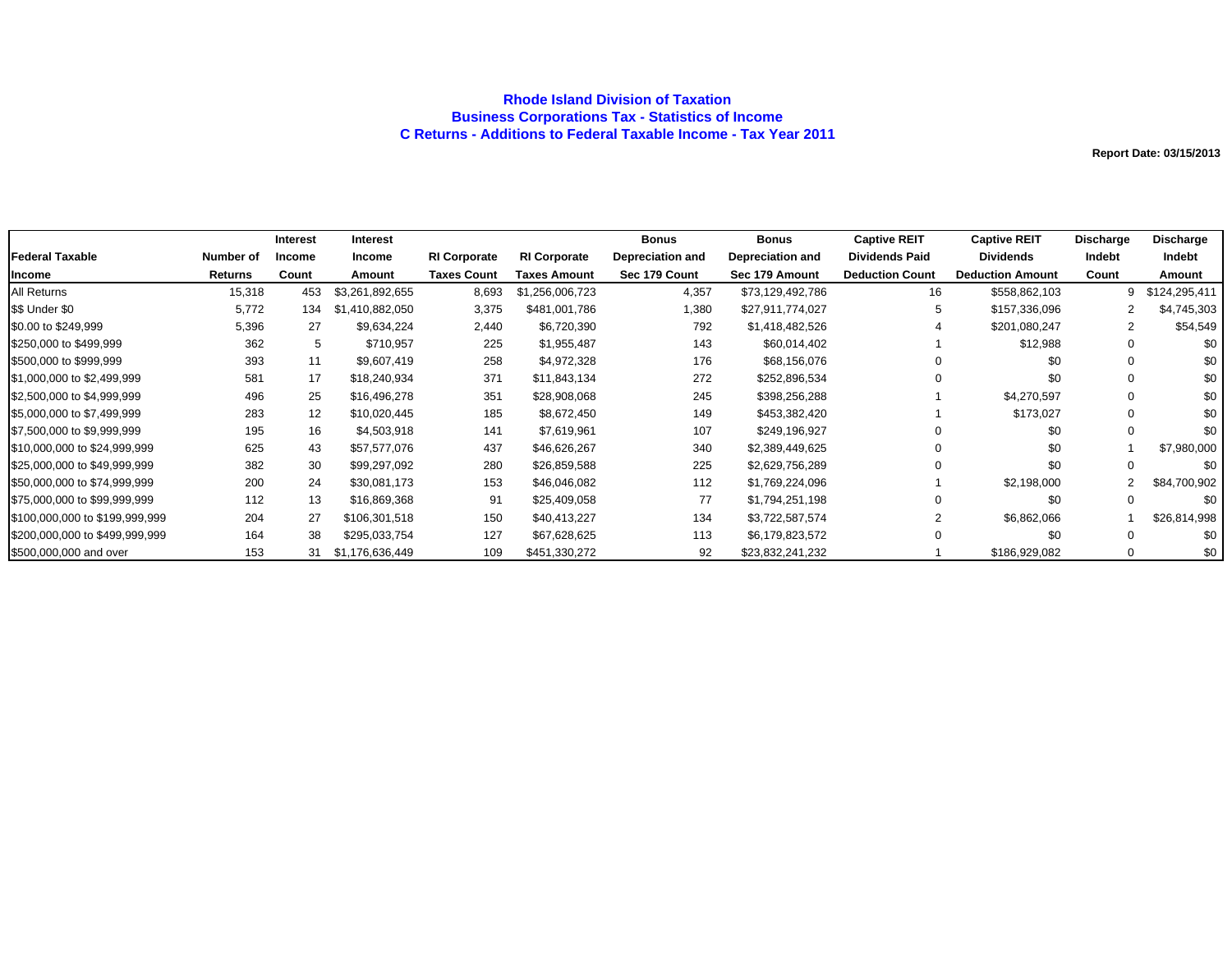### **Rhode Island Division of Taxation Business Corporations Tax - Statistics of Income C Returns - Additions to Federal Taxable Income - Tax Year 2011**

|                                |           | Interest      | <b>Interest</b> |                     |                     | <b>Bonus</b>            | <b>Bonus</b>     | <b>Captive REIT</b>    | <b>Captive REIT</b>     | Discharge | <b>Discharge</b> |
|--------------------------------|-----------|---------------|-----------------|---------------------|---------------------|-------------------------|------------------|------------------------|-------------------------|-----------|------------------|
| <b>Federal Taxable</b>         | Number of | <b>Income</b> | <b>Income</b>   | <b>RI Corporate</b> | <b>RI Corporate</b> | <b>Depreciation and</b> | Depreciation and | <b>Dividends Paid</b>  | <b>Dividends</b>        | Indebt    | Indebt           |
| Income                         | Returns   | Count         | Amount          | <b>Taxes Count</b>  | Taxes Amount        | Sec 179 Count           | Sec 179 Amount   | <b>Deduction Count</b> | <b>Deduction Amount</b> | Count     | Amount           |
| All Returns                    | 15,318    | 453           | \$3,261,892,655 | 8,693               | \$1,256,006,723     | 4,357                   | \$73,129,492,786 | 16                     | \$558,862,103           | 9         | \$124,295,411    |
| \$\$ Under \$0                 | 5,772     | 134           | \$1,410,882,050 | 3,375               | \$481,001,786       | 1,380                   | \$27,911,774,027 | 5                      | \$157,336,096           |           | \$4,745,303      |
| \$0.00 to \$249,999            | 5,396     | 27            | \$9,634,224     | 2,440               | \$6,720,390         | 792                     | \$1,418,482,526  |                        | \$201,080,247           | 2         | \$54,549         |
| \$250,000 to \$499,999         | 362       | 5             | \$710,957       | 225                 | \$1,955,487         | 143                     | \$60,014,402     |                        | \$12,988                |           | \$0              |
| \$500,000 to \$999,999         | 393       | 11            | \$9,607,419     | 258                 | \$4,972,328         | 176                     | \$68,156,076     |                        | \$0                     |           | \$0              |
| \$1,000,000 to \$2,499,999     | 581       | 17            | \$18,240,934    | 371                 | \$11,843,134        | 272                     | \$252,896,534    |                        | \$0                     |           | \$0              |
| \$2,500,000 to \$4,999,999     | 496       | 25            | \$16,496,278    | 351                 | \$28,908,068        | 245                     | \$398,256,288    |                        | \$4,270,597             |           | \$0              |
| \$5,000,000 to \$7,499,999     | 283       | 12            | \$10,020,445    | 185                 | \$8,672,450         | 149                     | \$453,382,420    |                        | \$173,027               |           | \$0              |
| \$7,500,000 to \$9,999,999     | 195       | 16            | \$4,503,918     | 141                 | \$7,619,961         | 107                     | \$249,196,927    |                        | \$0                     |           | \$0              |
| \$10,000,000 to \$24,999,999   | 625       | 43            | \$57,577,076    | 437                 | \$46,626,267        | 340                     | \$2,389,449,625  |                        | \$0                     |           | \$7,980,000      |
| \$25,000,000 to \$49,999,999   | 382       | 30            | \$99,297,092    | 280                 | \$26,859,588        | 225                     | \$2,629,756,289  |                        | \$0                     |           | \$0              |
| \$50,000,000 to \$74,999,999   | 200       | 24            | \$30,081,173    | 153                 | \$46,046,082        | 112                     | \$1,769,224,096  |                        | \$2,198,000             | 2         | \$84,700,902     |
| \$75,000,000 to \$99,999,999   | 112       | 13            | \$16,869,368    | 91                  | \$25,409,058        | 77                      | \$1,794,251,198  |                        | \$0                     |           | \$0              |
| \$100,000,000 to \$199,999,999 | 204       | 27            | \$106,301,518   | 150                 | \$40,413,227        | 134                     | \$3,722,587,574  |                        | \$6,862,066             |           | \$26,814,998     |
| \$200,000,000 to \$499,999,999 | 164       | 38            | \$295,033,754   | 127                 | \$67,628,625        | 113                     | \$6,179,823,572  |                        | \$0                     |           | \$0              |
| \$500,000,000 and over         | 153       | 31            | \$1,176,636,449 | 109                 | \$451,330,272       | 92                      | \$23,832,241,232 |                        | \$186,929,082           | $\Omega$  | \$0              |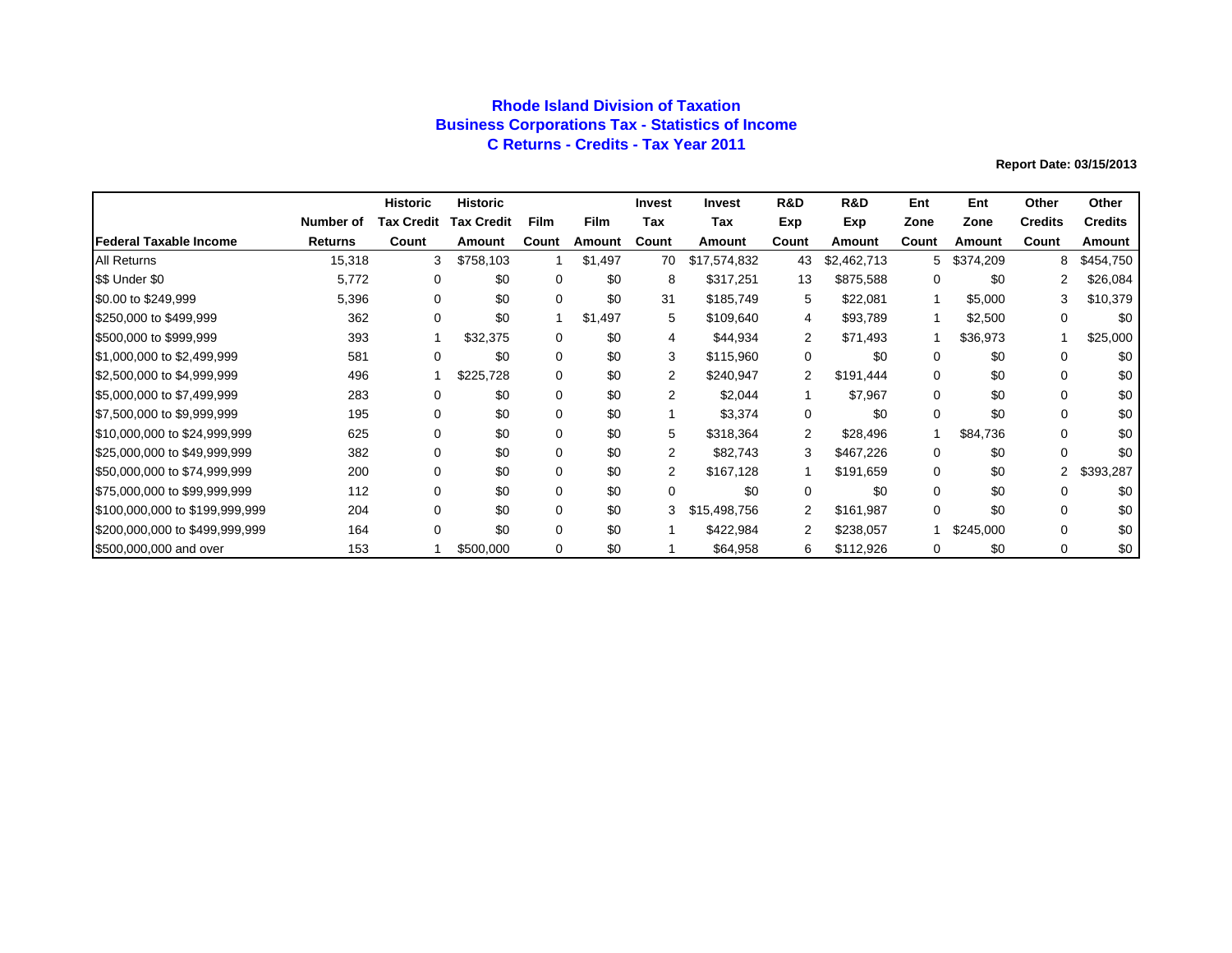## **Rhode Island Division of Taxation Business Corporations Tax - Statistics of Income C Returns - Credits - Tax Year 2011**

|                                |           | <b>Historic</b>   | <b>Historic</b>   |             |             | <b>Invest</b>  | <b>Invest</b> | R&D   | <b>R&amp;D</b> | Ent          | Ent       | Other          | Other          |
|--------------------------------|-----------|-------------------|-------------------|-------------|-------------|----------------|---------------|-------|----------------|--------------|-----------|----------------|----------------|
|                                | Number of | <b>Tax Credit</b> | <b>Tax Credit</b> | <b>Film</b> | <b>Film</b> | Tax            | Tax           | Exp   | Exp            | Zone         | Zone      | <b>Credits</b> | <b>Credits</b> |
| <b>Federal Taxable Income</b>  | Returns   | Count             | Amount            | Count       | Amount      | Count          | Amount        | Count | Amount         | Count        | Amount    | Count          | <b>Amount</b>  |
| <b>All Returns</b>             | 15,318    | 3                 | \$758,103         |             | \$1,497     | 70             | \$17,574,832  | 43    | \$2,462,713    | 5.           | \$374,209 | 8              | \$454,750      |
| \$\$ Under \$0                 | 5,772     | 0                 | \$0               | 0           | \$0         | 8              | \$317,251     | 13    | \$875,588      | 0            | \$0       | 2              | \$26,084       |
| \$0.00 to \$249,999            | 5,396     | 0                 | \$0               | 0           | \$0         | 31             | \$185,749     | 5     | \$22,081       | $\mathbf{1}$ | \$5,000   | 3              | \$10,379       |
| \$250,000 to \$499,999         | 362       | 0                 | \$0               |             | \$1,497     | 5              | \$109,640     | 4     | \$93,789       |              | \$2,500   | 0              | \$0            |
| \$500,000 to \$999,999         | 393       |                   | \$32,375          | 0           | \$0         | 4              | \$44,934      | 2     | \$71,493       |              | \$36,973  |                | \$25,000       |
| \$1,000,000 to \$2,499,999     | 581       | 0                 | \$0               | 0           | \$0         | 3              | \$115,960     | 0     | \$0            | 0            | \$0       | $\Omega$       | \$0            |
| \$2,500,000 to \$4,999,999     | 496       |                   | \$225,728         | 0           | \$0         | 2              | \$240,947     | 2     | \$191,444      | 0            | \$0       | $\Omega$       | \$0            |
| \$5,000,000 to \$7,499,999     | 283       | 0                 | \$0               | 0           | \$0         | $\overline{2}$ | \$2,044       |       | \$7,967        | 0            | \$0       | $\Omega$       | \$0            |
| \$7,500,000 to \$9,999,999     | 195       | $\Omega$          | \$0               | 0           | \$0         |                | \$3,374       | 0     | \$0            | 0            | \$0       | $\Omega$       | \$0            |
| \$10,000,000 to \$24,999,999   | 625       | $\Omega$          | \$0               | $\Omega$    | \$0         | 5              | \$318,364     | 2     | \$28,496       |              | \$84.736  | $\Omega$       | \$0            |
| \$25,000,000 to \$49,999,999   | 382       | $\Omega$          | \$0               | $\Omega$    | \$0         | $\overline{2}$ | \$82,743      | 3     | \$467,226      | 0            | \$0       | $\Omega$       | \$0            |
| \$50,000,000 to \$74,999,999   | 200       | $\Omega$          | \$0               | 0           | \$0         | $\overline{2}$ | \$167,128     |       | \$191,659      | 0            | \$0       | 2              | \$393,287      |
| \$75,000,000 to \$99,999,999   | 112       | $\Omega$          | \$0               | 0           | \$0         | $\Omega$       | \$0           | 0     | \$0            | 0            | \$0       | $\Omega$       | \$0            |
| \$100,000,000 to \$199,999,999 | 204       | $\Omega$          | \$0               | 0           | \$0         | 3              | \$15,498,756  | 2     | \$161,987      | 0            | \$0       | $\Omega$       | \$0            |
| \$200,000,000 to \$499,999,999 | 164       | $\Omega$          | \$0               | 0           | \$0         |                | \$422,984     | 2     | \$238,057      |              | \$245,000 | $\Omega$       | \$0            |
| \$500,000,000 and over         | 153       |                   | \$500,000         | $\Omega$    | \$0         |                | \$64,958      | 6     | \$112,926      | 0            | \$0       | 0              | \$0            |